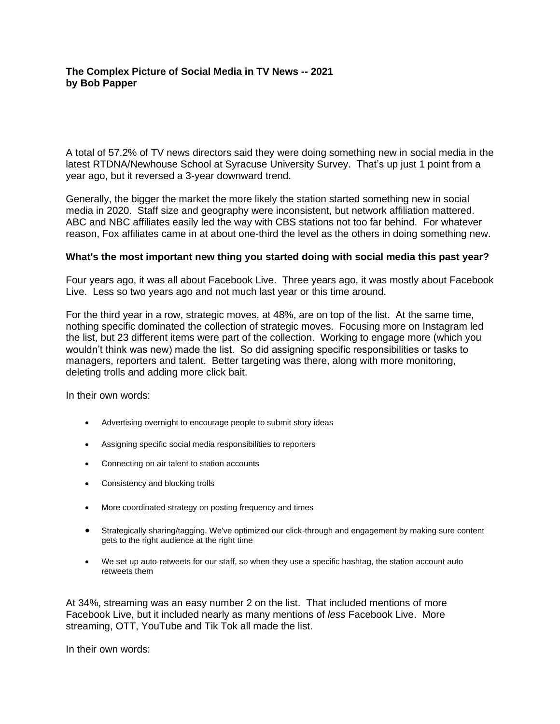# **The Complex Picture of Social Media in TV News -- 2021 by Bob Papper**

A total of 57.2% of TV news directors said they were doing something new in social media in the latest RTDNA/Newhouse School at Syracuse University Survey. That's up just 1 point from a year ago, but it reversed a 3-year downward trend.

Generally, the bigger the market the more likely the station started something new in social media in 2020. Staff size and geography were inconsistent, but network affiliation mattered. ABC and NBC affiliates easily led the way with CBS stations not too far behind. For whatever reason, Fox affiliates came in at about one-third the level as the others in doing something new.

#### **What's the most important new thing you started doing with social media this past year?**

Four years ago, it was all about Facebook Live. Three years ago, it was mostly about Facebook Live. Less so two years ago and not much last year or this time around.

For the third year in a row, strategic moves, at 48%, are on top of the list. At the same time, nothing specific dominated the collection of strategic moves. Focusing more on Instagram led the list, but 23 different items were part of the collection. Working to engage more (which you wouldn't think was new) made the list. So did assigning specific responsibilities or tasks to managers, reporters and talent. Better targeting was there, along with more monitoring, deleting trolls and adding more click bait.

In their own words:

- Advertising overnight to encourage people to submit story ideas
- Assigning specific social media responsibilities to reporters
- Connecting on air talent to station accounts
- Consistency and blocking trolls
- More coordinated strategy on posting frequency and times
- Strategically sharing/tagging. We've optimized our click-through and engagement by making sure content gets to the right audience at the right time
- We set up auto-retweets for our staff, so when they use a specific hashtag, the station account auto retweets them

At 34%, streaming was an easy number 2 on the list. That included mentions of more Facebook Live, but it included nearly as many mentions of *less* Facebook Live. More streaming, OTT, YouTube and Tik Tok all made the list.

In their own words: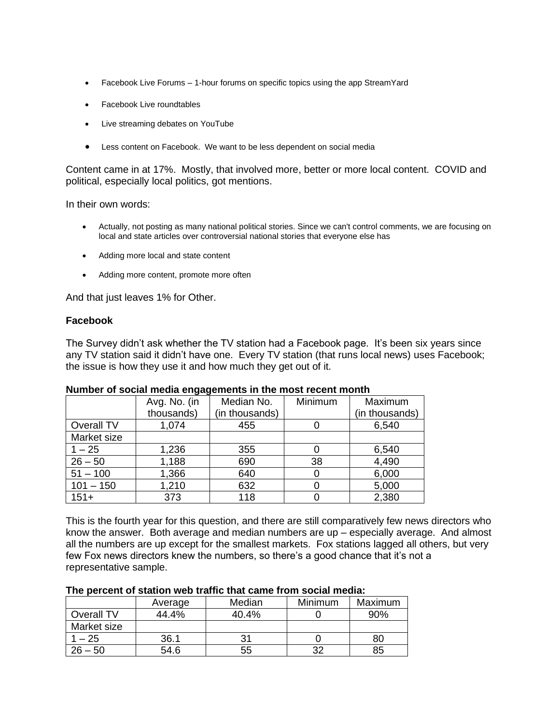- Facebook Live Forums 1-hour forums on specific topics using the app StreamYard
- Facebook Live roundtables
- Live streaming debates on YouTube
- Less content on Facebook. We want to be less dependent on social media

Content came in at 17%. Mostly, that involved more, better or more local content. COVID and political, especially local politics, got mentions.

In their own words:

- Actually, not posting as many national political stories. Since we can't control comments, we are focusing on local and state articles over controversial national stories that everyone else has
- Adding more local and state content
- Adding more content, promote more often

And that just leaves 1% for Other.

### **Facebook**

The Survey didn't ask whether the TV station had a Facebook page. It's been six years since any TV station said it didn't have one. Every TV station (that runs local news) uses Facebook; the issue is how they use it and how much they get out of it.

|             | Avg. No. (in | Median No.     | Minimum | Maximum        |
|-------------|--------------|----------------|---------|----------------|
|             | thousands)   | (in thousands) |         | (in thousands) |
| Overall TV  | 1,074        | 455            |         | 6,540          |
| Market size |              |                |         |                |
| $1 - 25$    | 1,236        | 355            |         | 6,540          |
| $26 - 50$   | 1,188        | 690            | 38      | 4,490          |
| $51 - 100$  | 1,366        | 640            | O       | 6,000          |
| $101 - 150$ | 1,210        | 632            |         | 5,000          |
| $151+$      | 373          | 118            |         | 2,380          |

#### **Number of social media engagements in the most recent month**

This is the fourth year for this question, and there are still comparatively few news directors who know the answer. Both average and median numbers are up – especially average. And almost all the numbers are up except for the smallest markets. Fox stations lagged all others, but very few Fox news directors knew the numbers, so there's a good chance that it's not a representative sample.

|             | Average | Median | Minimum | Maximum |
|-------------|---------|--------|---------|---------|
| Overall TV  | 44.4%   | 40.4%  |         | 90%     |
| Market size |         |        |         |         |
| $-25$       | 36.1    |        |         | 80      |
| $26 - 50$   | 54.6    | 55     |         | 85      |

### **The percent of station web traffic that came from social media:**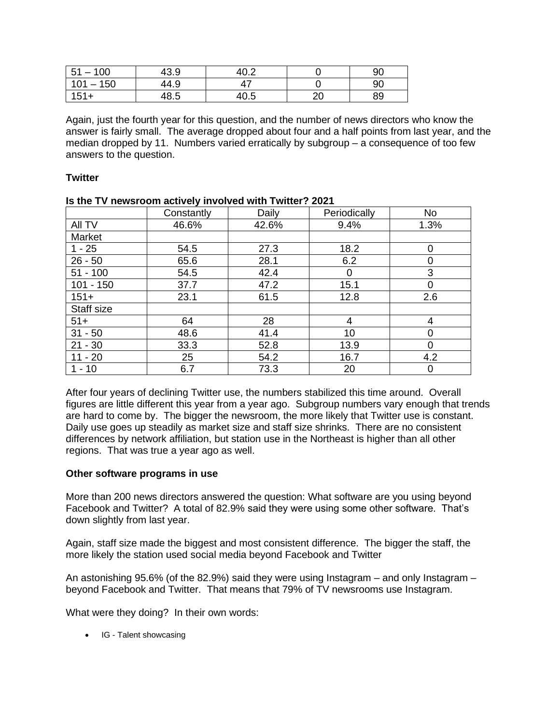| 51<br>$-100$  | 43.9 | າດ ດ | 90 |
|---------------|------|------|----|
| 101<br>$-150$ | 44.9 |      | 90 |
| $151+$        | 48.5 | 40.5 | 89 |

Again, just the fourth year for this question, and the number of news directors who know the answer is fairly small. The average dropped about four and a half points from last year, and the median dropped by 11. Numbers varied erratically by subgroup – a consequence of too few answers to the question.

## **Twitter**

|             | Constantly | Daily | Periodically | <b>No</b> |
|-------------|------------|-------|--------------|-----------|
| All TV      | 46.6%      | 42.6% | 9.4%         | 1.3%      |
| Market      |            |       |              |           |
| $1 - 25$    | 54.5       | 27.3  | 18.2         | 0         |
| $26 - 50$   | 65.6       | 28.1  | 6.2          | $\Omega$  |
| $51 - 100$  | 54.5       | 42.4  | 0            | 3         |
| $101 - 150$ | 37.7       | 47.2  | 15.1         | 0         |
| $151+$      | 23.1       | 61.5  | 12.8         | 2.6       |
| Staff size  |            |       |              |           |
| $51+$       | 64         | 28    | 4            | 4         |
| $31 - 50$   | 48.6       | 41.4  | 10           | 0         |
| $21 - 30$   | 33.3       | 52.8  | 13.9         | 0         |
| $11 - 20$   | 25         | 54.2  | 16.7         | 4.2       |
| $1 - 10$    | 6.7        | 73.3  | 20           | 0         |

#### **Is the TV newsroom actively involved with Twitter? 2021**

After four years of declining Twitter use, the numbers stabilized this time around. Overall figures are little different this year from a year ago. Subgroup numbers vary enough that trends are hard to come by. The bigger the newsroom, the more likely that Twitter use is constant. Daily use goes up steadily as market size and staff size shrinks. There are no consistent differences by network affiliation, but station use in the Northeast is higher than all other regions. That was true a year ago as well.

### **Other software programs in use**

More than 200 news directors answered the question: What software are you using beyond Facebook and Twitter? A total of 82.9% said they were using some other software. That's down slightly from last year.

Again, staff size made the biggest and most consistent difference. The bigger the staff, the more likely the station used social media beyond Facebook and Twitter

An astonishing 95.6% (of the 82.9%) said they were using Instagram – and only Instagram – beyond Facebook and Twitter. That means that 79% of TV newsrooms use Instagram.

What were they doing? In their own words:

• IG - Talent showcasing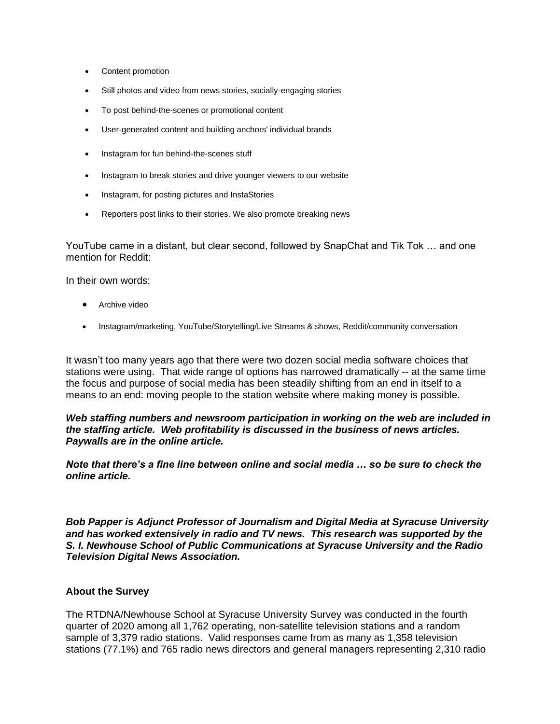- Content promotion
- Still photos and video from news stories, socially-engaging stories
- To post behind-the-scenes or promotional content
- User-generated content and building anchors' individual brands
- Instagram for fun behind-the-scenes stuff
- Instagram to break stories and drive younger viewers to our website
- Instagram, for posting pictures and InstaStories
- Reporters post links to their stories. We also promote breaking news

YouTube came in a distant, but clear second, followed by SnapChat and Tik Tok … and one mention for Reddit:

In their own words:

- Archive video
- Instagram/marketing, YouTube/Storytelling/Live Streams & shows, Reddit/community conversation

It wasn't too many years ago that there were two dozen social media software choices that stations were using. That wide range of options has narrowed dramatically -- at the same time the focus and purpose of social media has been steadily shifting from an end in itself to a means to an end: moving people to the station website where making money is possible.

*Web staffing numbers and newsroom participation in working on the web are included in the staffing article. Web profitability is discussed in the business of news articles. Paywalls are in the online article.*

*Note that there's a fine line between online and social media … so be sure to check the online article.* 

*Bob Papper is Adjunct Professor of Journalism and Digital Media at Syracuse University and has worked extensively in radio and TV news. This research was supported by the S. I. Newhouse School of Public Communications at Syracuse University and the Radio Television Digital News Association.*

#### **About the Survey**

The RTDNA/Newhouse School at Syracuse University Survey was conducted in the fourth quarter of 2020 among all 1,762 operating, non-satellite television stations and a random sample of 3,379 radio stations. Valid responses came from as many as 1,358 television stations (77.1%) and 765 radio news directors and general managers representing 2,310 radio